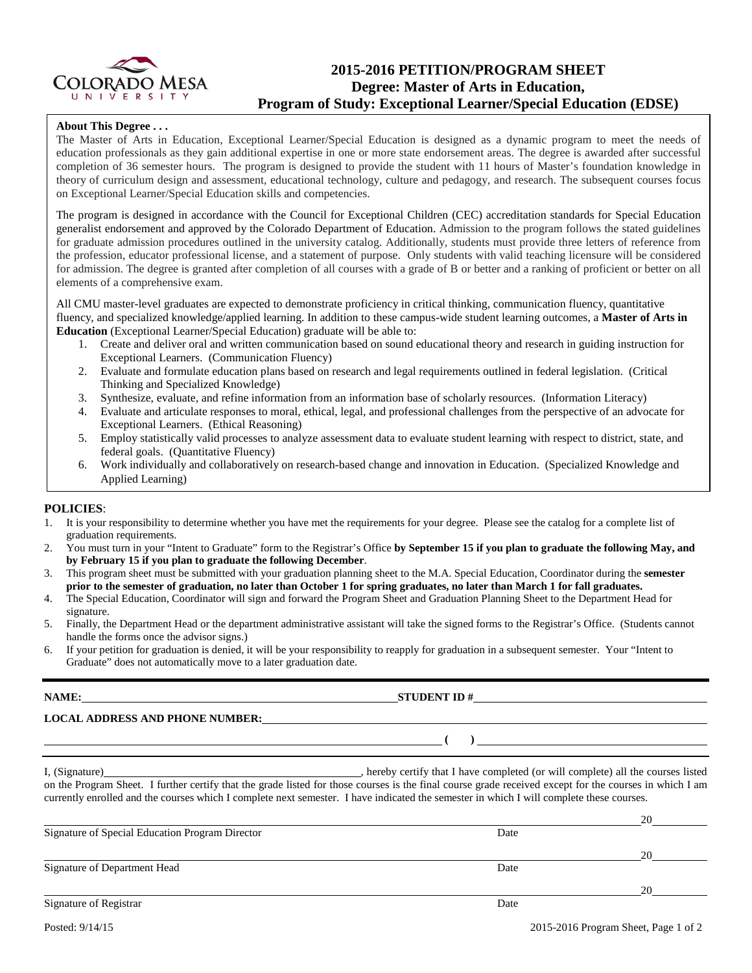

# **2015-2016 PETITION/PROGRAM SHEET Degree: Master of Arts in Education, Program of Study: Exceptional Learner/Special Education (EDSE)**

### **About This Degree . . .**

The Master of Arts in Education, Exceptional Learner/Special Education is designed as a dynamic program to meet the needs of education professionals as they gain additional expertise in one or more state endorsement areas. The degree is awarded after successful completion of 36 semester hours. The program is designed to provide the student with 11 hours of Master's foundation knowledge in theory of curriculum design and assessment, educational technology, culture and pedagogy, and research. The subsequent courses focus on Exceptional Learner/Special Education skills and competencies.

The program is designed in accordance with the Council for Exceptional Children (CEC) accreditation standards for Special Education generalist endorsement and approved by the Colorado Department of Education. Admission to the program follows the stated guidelines for graduate admission procedures outlined in the university catalog. Additionally, students must provide three letters of reference from the profession, educator professional license, and a statement of purpose. Only students with valid teaching licensure will be considered for admission. The degree is granted after completion of all courses with a grade of B or better and a ranking of proficient or better on all elements of a comprehensive exam.

All CMU master-level graduates are expected to demonstrate proficiency in critical thinking, communication fluency, quantitative fluency, and specialized knowledge/applied learning. In addition to these campus-wide student learning outcomes, a **Master of Arts in Education** (Exceptional Learner/Special Education) graduate will be able to:

- 1. Create and deliver oral and written communication based on sound educational theory and research in guiding instruction for Exceptional Learners. (Communication Fluency)
- 2. Evaluate and formulate education plans based on research and legal requirements outlined in federal legislation. (Critical Thinking and Specialized Knowledge)
- 3. Synthesize, evaluate, and refine information from an information base of scholarly resources. (Information Literacy)
- 4. Evaluate and articulate responses to moral, ethical, legal, and professional challenges from the perspective of an advocate for Exceptional Learners. (Ethical Reasoning)
- 5. Employ statistically valid processes to analyze assessment data to evaluate student learning with respect to district, state, and federal goals. (Quantitative Fluency)
- 6. Work individually and collaboratively on research-based change and innovation in Education. (Specialized Knowledge and Applied Learning)

### **POLICIES**:

- 1. It is your responsibility to determine whether you have met the requirements for your degree. Please see the catalog for a complete list of graduation requirements.
- 2. You must turn in your "Intent to Graduate" form to the Registrar's Office **by September 15 if you plan to graduate the following May, and by February 15 if you plan to graduate the following December**.
- 3. This program sheet must be submitted with your graduation planning sheet to the M.A. Special Education, Coordinator during the **semester prior to the semester of graduation, no later than October 1 for spring graduates, no later than March 1 for fall graduates.**
- 4. The Special Education, Coordinator will sign and forward the Program Sheet and Graduation Planning Sheet to the Department Head for signature.
- 5. Finally, the Department Head or the department administrative assistant will take the signed forms to the Registrar's Office. (Students cannot handle the forms once the advisor signs.)
- 6. If your petition for graduation is denied, it will be your responsibility to reapply for graduation in a subsequent semester. Your "Intent to Graduate" does not automatically move to a later graduation date.

**LOCAL ADDRESS AND PHONE NUMBER:**

I, (Signature) hereby certify that I have completed (or will complete) all the courses listed on the Program Sheet. I further certify that the grade listed for those courses is the final course grade received except for the courses in which I am currently enrolled and the courses which I complete next semester. I have indicated the semester in which I will complete these courses.

|                                                 |      | 20 |
|-------------------------------------------------|------|----|
| Signature of Special Education Program Director | Date |    |
|                                                 |      | 20 |
| Signature of Department Head                    | Date |    |
|                                                 |      | 20 |
| Signature of Registrar                          | Date |    |

**NAME: STUDENT ID #** 

 $($   $)$   $)$